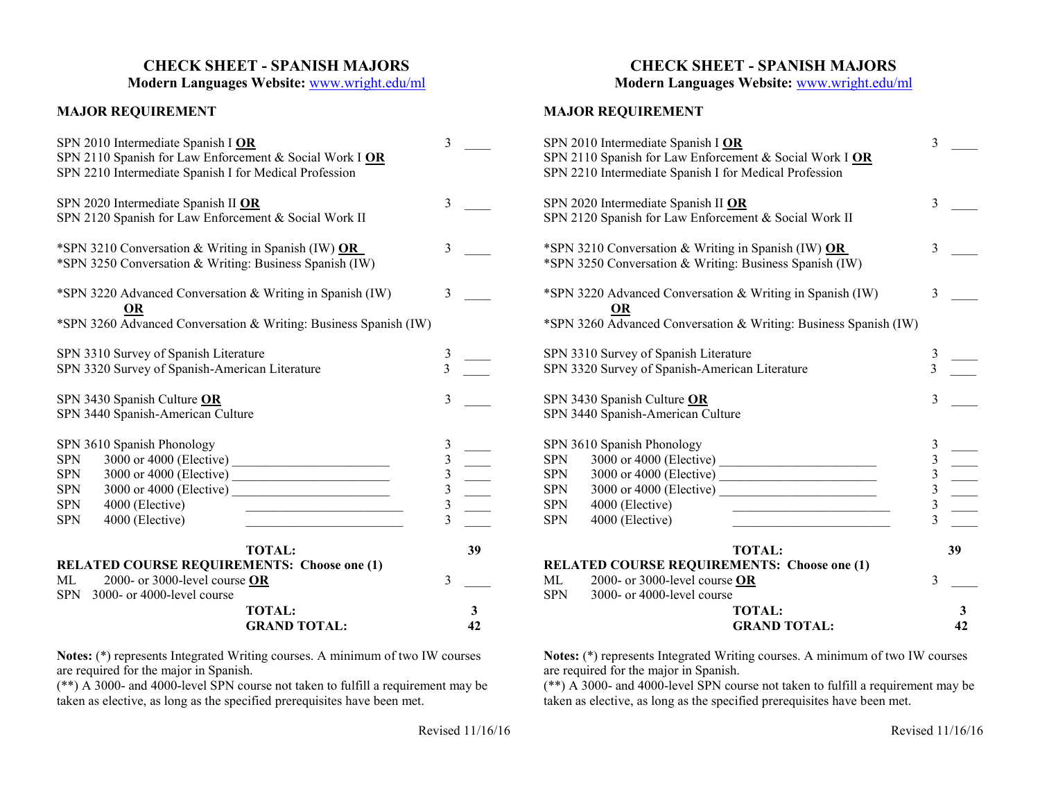## **CHECK SHEET - SPANISH MAJORS**

**Modern Languages Website:** [www.wright.edu/ml](http://www.wright.edu/ml)

## **MAJOR REQUIREMENT**

| SPN 2010 Intermediate Spanish I OR<br>SPN 2110 Spanish for Law Enforcement & Social Work I OR<br>SPN 2210 Intermediate Spanish I for Medical Profession | 3                       |         |
|---------------------------------------------------------------------------------------------------------------------------------------------------------|-------------------------|---------|
| SPN 2020 Intermediate Spanish II OR<br>SPN 2120 Spanish for Law Enforcement & Social Work II                                                            | 3                       |         |
| *SPN 3210 Conversation & Writing in Spanish (IW) OR<br>*SPN 3250 Conversation & Writing: Business Spanish (IW)                                          | 3                       |         |
| *SPN 3220 Advanced Conversation & Writing in Spanish (IW)                                                                                               | 3                       |         |
| OR<br>*SPN 3260 Advanced Conversation & Writing: Business Spanish (IW)                                                                                  |                         |         |
| SPN 3310 Survey of Spanish Literature                                                                                                                   | 3                       |         |
| SPN 3320 Survey of Spanish-American Literature                                                                                                          | $\overline{3}$          |         |
| SPN 3430 Spanish Culture OR<br>SPN 3440 Spanish-American Culture                                                                                        | 3                       |         |
| SPN 3610 Spanish Phonology                                                                                                                              | 3                       |         |
| SPN                                                                                                                                                     | $\overline{\mathbf{3}}$ |         |
| SPN                                                                                                                                                     | $\frac{3}{3}$           |         |
| <b>SPN</b>                                                                                                                                              |                         |         |
| 4000 (Elective)<br><b>SPN</b>                                                                                                                           | $\overline{\mathbf{3}}$ |         |
| 4000 (Elective)<br><b>SPN</b>                                                                                                                           | $\overline{3}$          |         |
| <b>TOTAL:</b><br><b>RELATED COURSE REQUIREMENTS: Choose one (1)</b><br>2000- or 3000-level course OR<br>ML                                              | $\overline{3}$          | 39      |
| SPN 3000- or 4000-level course                                                                                                                          |                         |         |
| <b>TOTAL:</b><br><b>GRAND TOTAL:</b>                                                                                                                    |                         | 3<br>42 |

**Notes:** (\*) represents Integrated Writing courses. A minimum of two IW courses are required for the major in Spanish.

(\*\*) A 3000- and 4000-level SPN course not taken to fulfill a requirement may be taken as elective, as long as the specified prerequisites have been met.

## **CHECK SHEET - SPANISH MAJORS**

**Modern Languages Website:** [www.wright.edu/ml](http://www.wright.edu/ml)

## **MAJOR REQUIREMENT**

|                  | SPN 2010 Intermediate Spanish I OR<br>SPN 2110 Spanish for Law Enforcement & Social Work I OR | 3                       |    |
|------------------|-----------------------------------------------------------------------------------------------|-------------------------|----|
|                  | SPN 2210 Intermediate Spanish I for Medical Profession                                        |                         |    |
|                  | SPN 2020 Intermediate Spanish II OR<br>SPN 2120 Spanish for Law Enforcement & Social Work II  | 3                       |    |
|                  | *SPN 3210 Conversation & Writing in Spanish (IW) OR                                           | 3                       |    |
|                  | *SPN 3250 Conversation & Writing: Business Spanish (IW)                                       |                         |    |
|                  | *SPN 3220 Advanced Conversation & Writing in Spanish (IW)<br><b>OR</b>                        | 3                       |    |
|                  | *SPN 3260 Advanced Conversation & Writing: Business Spanish (IW)                              |                         |    |
|                  | SPN 3310 Survey of Spanish Literature                                                         | 3                       |    |
|                  | SPN 3320 Survey of Spanish-American Literature                                                | $\overline{3}$          |    |
|                  | SPN 3430 Spanish Culture OR<br>SPN 3440 Spanish-American Culture                              | 3                       |    |
|                  |                                                                                               |                         |    |
|                  | SPN 3610 Spanish Phonology                                                                    | $\sqrt{3}$              |    |
| <b>SPN</b>       |                                                                                               | $\overline{\mathbf{3}}$ |    |
| SPN              |                                                                                               | $\frac{3}{3}$           |    |
| SPN              |                                                                                               |                         |    |
| SPN              | 4000 (Elective)<br>the control of the control of the control of the control of the control of | $\overline{3}$          |    |
| <b>SPN</b>       | 4000 (Elective)                                                                               | 3                       |    |
|                  | <b>TOTAL:</b>                                                                                 |                         | 39 |
|                  | <b>RELATED COURSE REQUIREMENTS: Choose one (1)</b>                                            | 3                       |    |
| ML<br><b>SPN</b> | 2000- or 3000-level course OR<br>3000- or 4000-level course                                   |                         |    |
|                  | <b>TOTAL:</b>                                                                                 |                         | 3  |
|                  | <b>GRAND TOTAL:</b>                                                                           |                         | 42 |
|                  |                                                                                               |                         |    |

**Notes:** (\*) represents Integrated Writing courses. A minimum of two IW courses are required for the major in Spanish.

(\*\*) A 3000- and 4000-level SPN course not taken to fulfill a requirement may be taken as elective, as long as the specified prerequisites have been met.